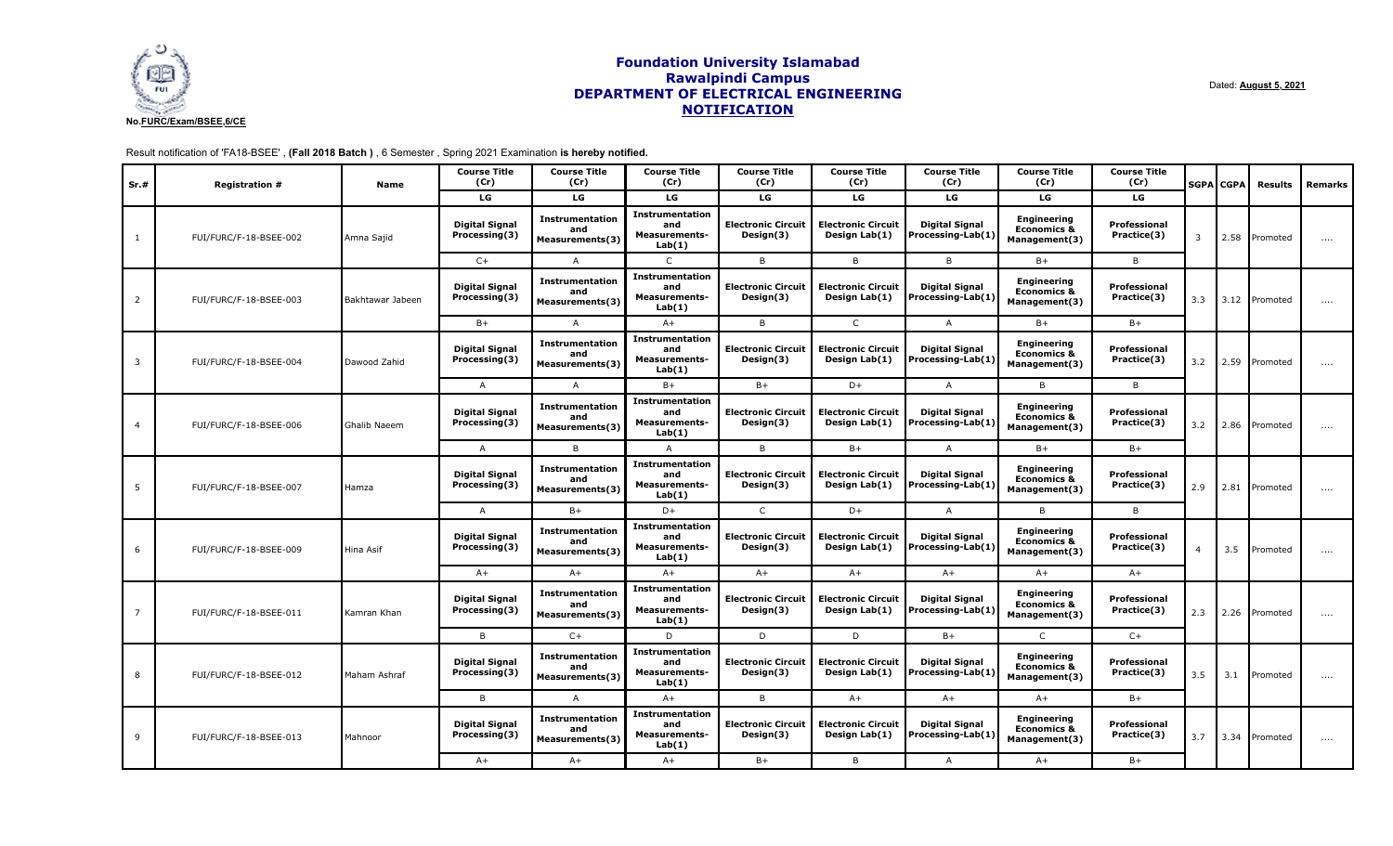

Dated: **August 5, 2021**

Result notification of 'FA18-BSEE' , **(Fall 2018 Batch )** , 6 Semester , Spring 2021 Examination **is hereby notified.**

| Sr.# | <b>Registration #</b>  | Name               | <b>Course Title</b><br>(Cr)            | <b>Course Title</b><br>(Cr)                      | <b>Course Title</b><br>(Cr)                                     | <b>Course Title</b><br>(Cr)            | <b>Course Title</b><br>(Cr)                | <b>Course Title</b><br>(Cr)                | <b>Course Title</b><br>(Cr)                                   | <b>Course Title</b><br>(Cr) |                | <b>SGPA CGPA</b> | <b>Results</b>  | Remarks  |
|------|------------------------|--------------------|----------------------------------------|--------------------------------------------------|-----------------------------------------------------------------|----------------------------------------|--------------------------------------------|--------------------------------------------|---------------------------------------------------------------|-----------------------------|----------------|------------------|-----------------|----------|
|      |                        |                    | LG                                     | LG                                               | LG                                                              | LG                                     | LG                                         | LG                                         | LG                                                            | LG                          |                |                  |                 |          |
|      | FUI/FURC/F-18-BSEE-002 | Amna Sajid         | <b>Digital Signal</b><br>Processing(3) | Instrumentation<br>and<br>Measurements(3)        | <b>Instrumentation</b><br>and<br><b>Measurements-</b><br>Lab(1) | <b>Electronic Circuit</b><br>Design(3) | <b>Electronic Circuit</b><br>Design Lab(1) | <b>Digital Signal</b><br>Processing-Lab(1) | <b>Engineering</b><br><b>Economics &amp;</b><br>Management(3) | Professional<br>Practice(3) | $\overline{3}$ | 2.58             | Promoted        | $\cdots$ |
|      |                        |                    | $C+$                                   | A                                                | $\mathsf{C}$                                                    | B                                      | B                                          | B                                          | $B+$                                                          | B                           |                |                  |                 |          |
| 2    | FUI/FURC/F-18-BSEE-003 | l Bakhtawar Jabeen | <b>Digital Signal</b><br>Processing(3) | Instrumentation<br>and<br>Measurements(3)        | <b>Instrumentation</b><br>and<br><b>Measurements-</b><br>Lab(1) | <b>Electronic Circuit</b><br>Design(3) | <b>Electronic Circuit</b><br>Design Lab(1) | <b>Digital Signal</b><br>Processing-Lab(1) | <b>Engineering</b><br><b>Economics &amp;</b><br>Management(3) | Professional<br>Practice(3) | 3.3            |                  | 3.12   Promoted | $\cdots$ |
|      |                        |                    | $B+$                                   | $\overline{A}$                                   | $A+$                                                            | B                                      | $\mathsf{C}$                               | $\mathsf{A}$                               | $B+$                                                          | $B+$                        |                |                  |                 |          |
| 3    | FUI/FURC/F-18-BSEE-004 | Dawood Zahid       | <b>Digital Signal</b><br>Processing(3) | <b>Instrumentation</b><br>and<br>Measurements(3) | <b>Instrumentation</b><br>and<br><b>Measurements-</b><br>Lab(1) | <b>Electronic Circuit</b><br>Design(3) | <b>Electronic Circuit</b><br>Design Lab(1) | <b>Digital Signal</b><br>Processing-Lab(1) | <b>Engineering</b><br><b>Economics &amp;</b><br>Management(3) | Professional<br>Practice(3) | 3.2            |                  | 2.59 Promoted   | $\cdots$ |
|      |                        |                    | A                                      | A                                                | $B+$                                                            | $B+$                                   | $D+$                                       | $\mathsf{A}$                               | B                                                             | B                           |                |                  |                 |          |
|      | FUI/FURC/F-18-BSEE-006 | Ghalib Naeem       | <b>Digital Signal</b><br>Processing(3) | Instrumentation<br>and<br>Measurements(3)        | <b>Instrumentation</b><br>and<br><b>Measurements-</b><br>Lab(1) | <b>Electronic Circuit</b><br>Design(3) | <b>Electronic Circuit</b><br>Design Lab(1) | <b>Digital Signal</b><br>Processing-Lab(1) | <b>Engineering</b><br><b>Economics &amp;</b><br>Management(3) | Professional<br>Practice(3) | 3.2            |                  | 2.86 Promoted   | $\cdots$ |
|      |                        |                    | A                                      | <b>B</b>                                         | $\overline{A}$                                                  | B                                      | $B+$                                       | A                                          | $B+$                                                          | $B+$                        |                |                  |                 |          |
| 5    | FUI/FURC/F-18-BSEE-007 | Hamza              | <b>Digital Signal</b><br>Processing(3) | Instrumentation<br>and<br>Measurements(3)        | <b>Instrumentation</b><br>and<br><b>Measurements-</b><br>Lab(1) | <b>Electronic Circuit</b><br>Design(3) | <b>Electronic Circuit</b><br>Design Lab(1) | Digital Signal<br>Processing-Lab(1)        | <b>Engineering</b><br><b>Economics &amp;</b><br>Management(3) | Professional<br>Practice(3) | 2.9            |                  | 2.81 Promoted   | $\cdots$ |
|      |                        |                    | $\mathsf{A}$                           | $B+$                                             | $D+$                                                            | $\mathsf{C}$                           | $D+$                                       | $\mathsf{A}$                               | B                                                             | B                           |                |                  |                 |          |
|      | FUI/FURC/F-18-BSEE-009 | Hina Asif          | <b>Digital Signal</b><br>Processing(3) | Instrumentation<br>and<br>Measurements(3)        | <b>Instrumentation</b><br>and<br><b>Measurements-</b><br>Lab(1) | <b>Electronic Circuit</b><br>Design(3) | <b>Electronic Circuit</b><br>Design Lab(1) | <b>Digital Signal</b><br>Processing-Lab(1) | <b>Engineering</b><br><b>Economics &amp;</b><br>Management(3) | Professional<br>Practice(3) | $\overline{4}$ | 3.5              | Promoted        | $\cdots$ |
|      |                        |                    | $A+$                                   | $A+$                                             | $A+$                                                            | $A+$                                   | $A+$                                       | $A+$                                       | $A+$                                                          | $A+$                        |                |                  |                 |          |
|      | FUI/FURC/F-18-BSEE-011 | Kamran Khan        | <b>Digital Signal</b><br>Processing(3) | <b>Instrumentation</b><br>and<br>Measurements(3) | <b>Instrumentation</b><br>and<br><b>Measurements-</b><br>Lab(1) | <b>Electronic Circuit</b><br>Design(3) | <b>Electronic Circuit</b><br>Design Lab(1) | <b>Digital Signal</b><br>Processing-Lab(1) | <b>Engineering</b><br><b>Economics &amp;</b><br>Management(3) | Professional<br>Practice(3) | 2.3            |                  | 2.26 Promoted   | $\cdots$ |
|      |                        |                    | B                                      | $C+$                                             | D                                                               | D                                      | D                                          | $B+$                                       | $\mathsf{C}$                                                  | $C+$                        |                |                  |                 |          |
|      | FUI/FURC/F-18-BSEE-012 | Maham Ashraf       | <b>Digital Signal</b><br>Processing(3) | Instrumentation<br>and<br><b>Measurements(3)</b> | <b>Instrumentation</b><br>and<br><b>Measurements-</b><br>Lab(1) | <b>Electronic Circuit</b><br>Design(3) | <b>Electronic Circuit</b><br>Design Lab(1) | <b>Digital Signal</b><br>Processing-Lab(1) | <b>Engineering</b><br><b>Economics &amp;</b><br>Management(3) | Professional<br>Practice(3) | 3.5            | 3.1              | Promoted        | $\cdots$ |
|      |                        |                    | B                                      | A                                                | $A+$                                                            | B                                      | $A+$                                       | $A+$                                       | $A+$                                                          | $B+$                        |                |                  |                 |          |
| 9    | FUI/FURC/F-18-BSEE-013 | Mahnoor            | <b>Digital Signal</b><br>Processing(3) | Instrumentation<br>and<br>Measurements(3)        | Instrumentation<br>and<br>Measurements-<br>Lab(1)               | <b>Electronic Circuit</b><br>Design(3) | <b>Electronic Circuit</b><br>Design Lab(1) | Digital Signal<br>Processing-Lab(1)        | <b>Engineering</b><br><b>Economics &amp;</b><br>Management(3) | Professional<br>Practice(3) | 3.7            |                  | 3.34 Promoted   | $\cdots$ |
|      |                        |                    | $A+$                                   | $A+$                                             | $A+$                                                            | $B+$                                   | B                                          | $\mathsf{A}$                               | $A+$                                                          | $B+$                        |                |                  |                 |          |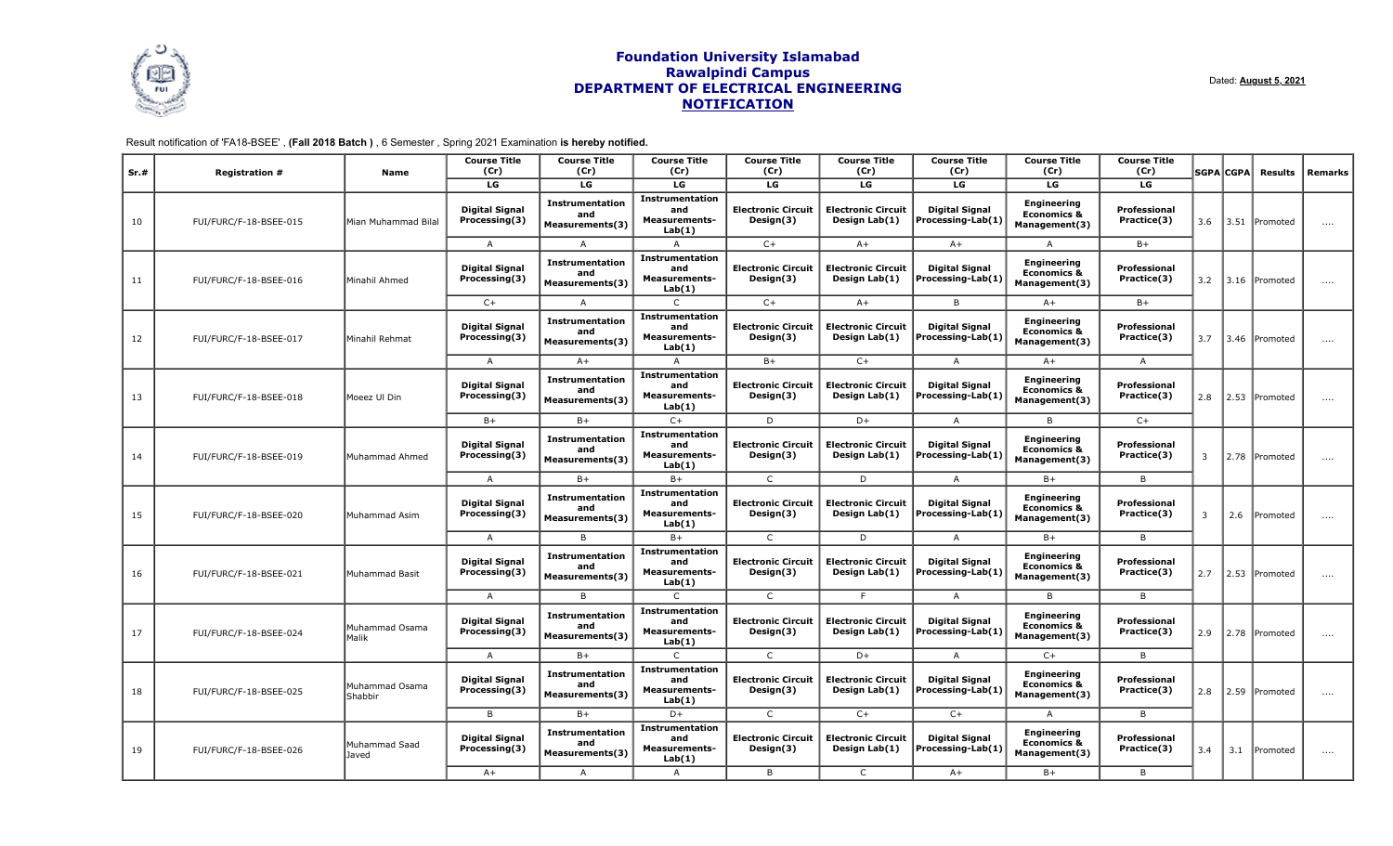

Dated: **August 5, 2021**

Result notification of 'FA18-BSEE' , **(Fall 2018 Batch )** , 6 Semester , Spring 2021 Examination **is hereby notified.**

| Sr.# | <b>Registration #</b>  | Name                      | <b>Course Title</b><br>(Cr)            | <b>Course Title</b><br>(Cr)                      | <b>Course Title</b><br>(Cr)                                     | <b>Course Title</b><br>(Cr)            | <b>Course Title</b><br>(Cr)                | <b>Course Title</b><br>(Cr)                | <b>Course Title</b><br>(Cr)                                   | <b>Course Title</b><br>(Cr) |     | <b>SGPA CGPA</b> | <b>Results</b> | Remarks    |
|------|------------------------|---------------------------|----------------------------------------|--------------------------------------------------|-----------------------------------------------------------------|----------------------------------------|--------------------------------------------|--------------------------------------------|---------------------------------------------------------------|-----------------------------|-----|------------------|----------------|------------|
|      |                        |                           | LG                                     | LG                                               | LG                                                              | LG                                     | LG                                         | LG                                         | LG                                                            | LG                          |     |                  |                |            |
| 10   | FUI/FURC/F-18-BSEE-015 | Mian Muhammad Bilal       | <b>Digital Signal</b><br>Processing(3) | <b>Instrumentation</b><br>and<br>Measurements(3) | <b>Instrumentation</b><br>and<br><b>Measurements-</b><br>Lab(1) | <b>Electronic Circuit</b><br>Design(3) | <b>Electronic Circuit</b><br>Design Lab(1) | <b>Digital Signal</b><br>Processing-Lab(1) | <b>Engineering</b><br><b>Economics &amp;</b><br>Management(3) | Professional<br>Practice(3) | 3.6 | 3.51             | Promoted       | $\ldots$ . |
|      |                        |                           | $\overline{A}$                         | $\overline{A}$                                   | A                                                               | $C+$                                   | $A+$                                       | $A+$                                       | A                                                             | $B+$                        |     |                  |                |            |
| 11   | FUI/FURC/F-18-BSEE-016 | Minahil Ahmed             | <b>Digital Signal</b><br>Processing(3) | <b>Instrumentation</b><br>and<br>Measurements(3) | <b>Instrumentation</b><br>and<br><b>Measurements-</b><br>Lab(1) | <b>Electronic Circuit</b><br>Design(3) | <b>Electronic Circuit</b><br>Design Lab(1) | <b>Digital Signal</b><br>Processing-Lab(1) | <b>Engineering</b><br><b>Economics &amp;</b><br>Management(3) | Professional<br>Practice(3) | 3.2 |                  | 3.16 Promoted  | $\ldots$ . |
|      |                        |                           | $C+$                                   | $\overline{A}$                                   | $\mathsf{C}$                                                    | $C+$                                   | $A+$                                       | B.                                         | $A+$                                                          | $B+$                        |     |                  |                |            |
| 12   | FUI/FURC/F-18-BSEE-017 | Minahil Rehmat            | <b>Digital Signal</b><br>Processing(3) | <b>Instrumentation</b><br>and<br>Measurements(3) | <b>Instrumentation</b><br>and<br><b>Measurements-</b><br>Lab(1) | <b>Electronic Circuit</b><br>Design(3) | <b>Electronic Circuit</b><br>Design Lab(1) | <b>Digital Signal</b><br>Processing-Lab(1) | <b>Engineering</b><br><b>Economics &amp;</b><br>Management(3) | Professional<br>Practice(3) | 3.7 | 3.46             | Promoted       | $\cdots$   |
|      |                        |                           | $\overline{A}$                         | $A+$                                             | $\overline{A}$                                                  | $B+$                                   | $C+$                                       | $\overline{A}$                             | $A+$                                                          | $\overline{A}$              |     |                  |                |            |
| 13   | FUI/FURC/F-18-BSEE-018 | Moeez Ul Din              | <b>Digital Signal</b><br>Processing(3) | <b>Instrumentation</b><br>and<br>Measurements(3) | <b>Instrumentation</b><br>and<br><b>Measurements-</b><br>Lab(1) | <b>Electronic Circuit</b><br>Design(3) | <b>Electronic Circuit</b><br>Design Lab(1) | <b>Digital Signal</b><br>Processing-Lab(1) | <b>Engineering</b><br><b>Economics &amp;</b><br>Management(3) | Professional<br>Practice(3) | 2.8 | 2.53             | Promoted       | $\cdots$   |
|      |                        |                           | $B+$                                   | $B+$                                             | $C+$                                                            | D                                      | D+                                         | $\overline{A}$                             | B                                                             | $C+$                        |     |                  |                |            |
| 14   | FUI/FURC/F-18-BSEE-019 | Muhammad Ahmed            | <b>Digital Signal</b><br>Processing(3) | <b>Instrumentation</b><br>and<br>Measurements(3) | <b>Instrumentation</b><br>and<br><b>Measurements-</b><br>Lab(1) | <b>Electronic Circuit</b><br>Design(3) | <b>Electronic Circuit</b><br>Design Lab(1) | <b>Digital Signal</b><br>Processing-Lab(1) | <b>Engineering</b><br><b>Economics &amp;</b><br>Management(3) | Professional<br>Practice(3) | 3   |                  | 2.78 Promoted  | $\cdots$   |
|      |                        |                           | $\mathsf{A}$                           | $B+$                                             | $B+$                                                            | $\mathsf{C}$                           | D                                          | A                                          | $B+$                                                          | B                           |     |                  |                |            |
| 15   | FUI/FURC/F-18-BSEE-020 | Muhammad Asim             | <b>Digital Signal</b><br>Processing(3) | <b>Instrumentation</b><br>and<br>Measurements(3) | <b>Instrumentation</b><br>and<br><b>Measurements-</b><br>Lab(1) | <b>Electronic Circuit</b><br>Design(3) | <b>Electronic Circuit</b><br>Design Lab(1) | <b>Digital Signal</b><br>Processing-Lab(1) | <b>Engineering</b><br><b>Economics &amp;</b><br>Management(3) | Professional<br>Practice(3) | 3   | 2.6              | Promoted       | $\cdots$   |
|      |                        |                           | $\overline{A}$                         | B                                                | $B+$                                                            | $\mathsf{C}$                           | D                                          | $\overline{A}$                             | $B+$                                                          | B                           |     |                  |                |            |
| 16   | FUI/FURC/F-18-BSEE-021 | Muhammad Basit            | <b>Digital Signal</b><br>Processing(3) | <b>Instrumentation</b><br>and<br>Measurements(3) | <b>Instrumentation</b><br>and<br><b>Measurements-</b><br>Lab(1) | <b>Electronic Circuit</b><br>Design(3) | <b>Electronic Circuit</b><br>Design Lab(1) | Digital Signal<br>Processing-Lab(1)        | Engineering<br><b>Economics &amp;</b><br>Management(3)        | Professional<br>Practice(3) | 2.7 | 2.53             | Promoted       | $\ldots$ . |
|      |                        |                           | $\overline{A}$                         | B                                                | C.                                                              | $\mathsf{C}$                           | E                                          | $\overline{A}$                             | B                                                             | B                           |     |                  |                |            |
| 17   | FUI/FURC/F-18-BSEE-024 | Muhammad Osama<br>Malik   | <b>Digital Signal</b><br>Processing(3) | <b>Instrumentation</b><br>and<br>Measurements(3) | <b>Instrumentation</b><br>and<br><b>Measurements-</b><br>Lab(1) | <b>Electronic Circuit</b><br>Design(3) | <b>Electronic Circuit</b><br>Design Lab(1) | <b>Digital Signal</b><br>Processing-Lab(1) | <b>Engineering</b><br><b>Economics &amp;</b><br>Management(3) | Professional<br>Practice(3) | 2.9 |                  | 2.78 Promoted  | $\ldots$ . |
|      |                        |                           | $\overline{A}$                         | $B+$                                             | $\mathsf{C}$                                                    | $\mathsf{C}$                           | $D+$                                       | $\overline{A}$                             | $C+$                                                          | B                           |     |                  |                |            |
| 18   | FUI/FURC/F-18-BSEE-025 | Muhammad Osama<br>Shabbir | <b>Digital Signal</b><br>Processing(3) | <b>Instrumentation</b><br>and<br>Measurements(3) | <b>Instrumentation</b><br>and<br><b>Measurements-</b><br>Lab(1) | <b>Electronic Circuit</b><br>Design(3) | <b>Electronic Circuit</b><br>Design Lab(1) | <b>Digital Signal</b><br>Processing-Lab(1) | <b>Engineering</b><br><b>Economics &amp;</b><br>Management(3) | Professional<br>Practice(3) | 2.8 |                  | 2.59 Promoted  | $\cdots$   |
|      |                        |                           | B                                      | $B+$                                             | $D+$                                                            | $\mathsf{C}$                           | $C+$                                       | $C+$                                       | A                                                             | B                           |     |                  |                |            |
| 19   | FUI/FURC/F-18-BSEE-026 | Muhammad Saad<br>Javed    | <b>Digital Signal</b><br>Processing(3) | <b>Instrumentation</b><br>and<br>Measurements(3) | <b>Instrumentation</b><br>and<br><b>Measurements-</b><br>Lab(1) | <b>Electronic Circuit</b><br>Design(3) | <b>Electronic Circuit</b><br>Design Lab(1) | <b>Digital Signal</b><br>Processing-Lab(1) | <b>Engineering</b><br><b>Economics &amp;</b><br>Management(3) | Professional<br>Practice(3) | 3.4 | 3.1              | Promoted       | $\cdots$   |
|      |                        |                           | $A+$                                   | $\overline{A}$                                   | $\overline{A}$                                                  | B                                      | $\mathsf{C}$                               | $A+$                                       | $B+$                                                          | B                           |     |                  |                |            |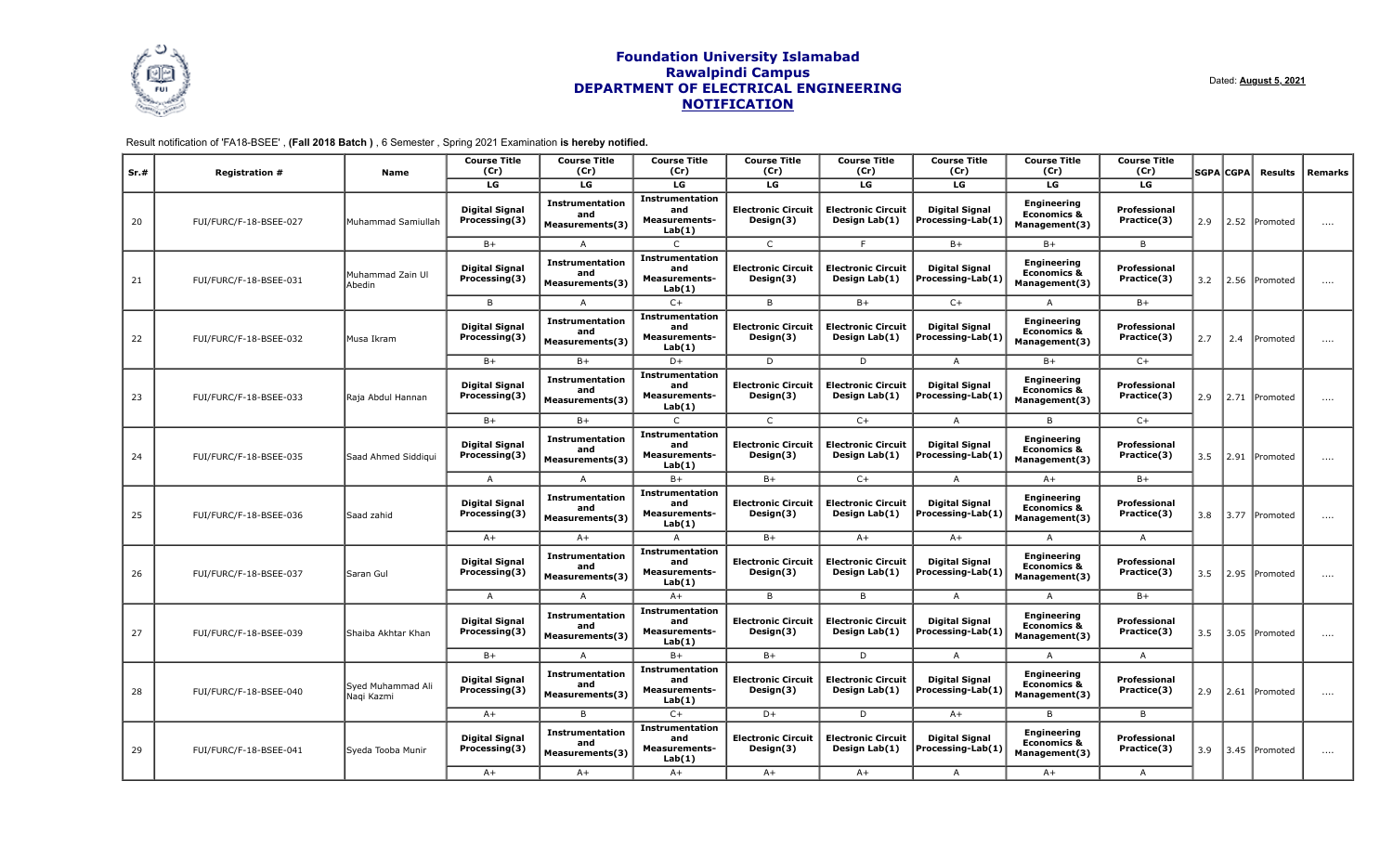

Dated: **August 5, 2021**

Result notification of 'FA18-BSEE' , **(Fall 2018 Batch )** , 6 Semester , Spring 2021 Examination **is hereby notified.**

| Sr.# | <b>Registration #</b>  | <b>Name</b>                     | <b>Course Title</b><br>(Cr)            | <b>Course Title</b><br>(Cr)                             | <b>Course Title</b><br>(Cr)                                     | <b>Course Title</b><br>(Cr)            | <b>Course Title</b><br>(Cr)                | <b>Course Title</b><br>(Cr)                | <b>Course Title</b><br>(Cr)                                   | <b>Course Title</b><br>(Cr) |      | <b>SGPA CGPA</b> | <b>Results</b> | Remarks        |  |  |  |  |
|------|------------------------|---------------------------------|----------------------------------------|---------------------------------------------------------|-----------------------------------------------------------------|----------------------------------------|--------------------------------------------|--------------------------------------------|---------------------------------------------------------------|-----------------------------|------|------------------|----------------|----------------|--|--|--|--|
|      |                        |                                 | LG                                     | LG                                                      | LG                                                              | LG                                     | LG                                         | LG                                         | LG                                                            | LG                          |      |                  |                |                |  |  |  |  |
| 20   | FUI/FURC/F-18-BSEE-027 | Muhammad Samiullah              | <b>Digital Signal</b><br>Processing(3) | <b>Instrumentation</b><br>and<br>Measurements(3)        | <b>Instrumentation</b><br>and<br>Measurements-<br>Lab(1)        | <b>Electronic Circuit</b><br>Design(3) | <b>Electronic Circuit</b><br>Design Lab(1) | <b>Digital Signal</b><br>Processing-Lab(1) | <b>Engineering</b><br><b>Economics &amp;</b><br>Management(3) | Professional<br>Practice(3) | 2.9  |                  | 2.52 Promoted  | $\cdots$       |  |  |  |  |
|      |                        |                                 | $B+$                                   | A                                                       | C                                                               | $\mathsf{C}$                           | F                                          | $B+$                                       | $B+$                                                          | B                           |      |                  |                |                |  |  |  |  |
| 21   | FUI/FURC/F-18-BSEE-031 | Muhammad Zain Ul<br>Abedin      | <b>Digital Signal</b><br>Processing(3) | <b>Instrumentation</b><br>and<br>Measurements(3)        | <b>Instrumentation</b><br>and<br><b>Measurements-</b><br>Lab(1) | <b>Electronic Circuit</b><br>Design(3) | <b>Electronic Circuit</b><br>Design Lab(1) | <b>Digital Signal</b><br>Processing-Lab(1) | <b>Engineering</b><br><b>Economics &amp;</b><br>Management(3) | Professional<br>Practice(3) | 3.2  | 2.56             | Promoted       | $\cdots$       |  |  |  |  |
|      |                        |                                 | B                                      | $\mathsf{A}$                                            | $C+$                                                            | B                                      | $B+$                                       | $C+$                                       | $\overline{A}$                                                | $B+$                        |      |                  |                |                |  |  |  |  |
| 22   | FUI/FURC/F-18-BSEE-032 | Musa Ikram                      | <b>Digital Signal</b><br>Processing(3) | <b>Instrumentation</b><br>and<br>Measurements(3)        | <b>Instrumentation</b><br>and<br><b>Measurements-</b><br>Lab(1) | <b>Electronic Circuit</b><br>Design(3) | <b>Electronic Circuit</b><br>Design Lab(1) | <b>Digital Signal</b><br>Processing-Lab(1) | <b>Engineering</b><br><b>Economics &amp;</b><br>Management(3) | Professional<br>Practice(3) | 2.7  | 2.4              | Promoted       | $\cdots$       |  |  |  |  |
|      |                        |                                 | $B+$                                   | $B+$                                                    | $D+$                                                            | D                                      | D                                          | $\overline{A}$                             | $B+$                                                          | $C+$                        |      |                  |                |                |  |  |  |  |
| 23   | FUI/FURC/F-18-BSEE-033 | Raia Abdul Hannan               | <b>Digital Signal</b><br>Processing(3) | <b>Instrumentation</b><br>and<br><b>Measurements(3)</b> | <b>Instrumentation</b><br>and<br><b>Measurements-</b><br>Lab(1) | <b>Electronic Circuit</b><br>Design(3) | <b>Electronic Circuit</b><br>Design Lab(1) | <b>Digital Signal</b><br>Processing-Lab(1) | <b>Engineering</b><br><b>Economics &amp;</b><br>Management(3) | Professional<br>Practice(3) | 2.9  |                  | 2.71 Promoted  | $\cdots$       |  |  |  |  |
|      |                        |                                 | $B+$                                   | $B+$                                                    | C                                                               | $\mathsf{C}$                           | $C+$                                       | $\mathsf{A}$                               | B                                                             | $C+$                        |      |                  |                |                |  |  |  |  |
| 24   | FUI/FURC/F-18-BSEE-035 | Saad Ahmed Siddigui             | <b>Digital Signal</b><br>Processing(3) | <b>Instrumentation</b><br>and<br>Measurements(3)        | <b>Instrumentation</b><br>and<br><b>Measurements-</b><br>Lab(1) | <b>Electronic Circuit</b><br>Design(3) | <b>Electronic Circuit</b><br>Design Lab(1) | <b>Digital Signal</b><br>Processing-Lab(1) | <b>Engineering</b><br><b>Economics &amp;</b><br>Management(3) | Professional<br>Practice(3) | 3.5  | 2.91             | Promoted       | $\cdots$       |  |  |  |  |
|      |                        |                                 | $\overline{A}$                         | $\overline{A}$                                          | $B+$                                                            | $B+$                                   | $C+$                                       | $\overline{A}$                             | $A+$                                                          | $B+$                        |      |                  |                |                |  |  |  |  |
| 25   | FUI/FURC/F-18-BSEE-036 | Saad zahid                      | <b>Digital Signal</b><br>Processing(3) | <b>Instrumentation</b><br>and<br>Measurements(3)        | <b>Instrumentation</b><br>and<br><b>Measurements-</b><br>Lab(1) | <b>Electronic Circuit</b><br>Design(3) | <b>Electronic Circuit</b><br>Design Lab(1) | <b>Digital Signal</b><br>Processing-Lab(1) | <b>Engineering</b><br><b>Economics &amp;</b><br>Management(3) | Professional<br>Practice(3) | 3.8  |                  | 3.77 Promoted  | $\cdots$       |  |  |  |  |
|      |                        |                                 | $A+$                                   | $A+$                                                    | A                                                               | $B+$                                   | $A+$                                       | $A+$                                       | A                                                             | A                           |      |                  |                |                |  |  |  |  |
| 26   | FUI/FURC/F-18-BSEE-037 | Saran Gul                       | <b>Digital Signal</b><br>Processing(3) | <b>Instrumentation</b><br>and<br>Measurements(3)        | <b>Instrumentation</b><br>and<br>Measurements-<br>Lab(1)        | <b>Electronic Circuit</b><br>Design(3) | <b>Electronic Circuit</b><br>Design Lab(1) | <b>Digital Signal</b><br>Processing-Lab(1) | <b>Engineering</b><br><b>Economics &amp;</b><br>Management(3) | Professional<br>Practice(3) | 3.5  |                  | 2.95 Promoted  | $\cdots$       |  |  |  |  |
|      |                        |                                 | A                                      | A                                                       | $A+$                                                            | B                                      | B                                          | A                                          | A                                                             | $B+$                        |      |                  |                |                |  |  |  |  |
| 27   | FUI/FURC/F-18-BSEE-039 | Shaiba Akhtar Khan              | <b>Digital Signal</b><br>Processing(3) | <b>Instrumentation</b><br>and<br><b>Measurements(3)</b> | <b>Instrumentation</b><br>and<br><b>Measurements-</b><br>Lab(1) | <b>Electronic Circuit</b><br>Design(3) | <b>Electronic Circuit</b><br>Design Lab(1) | <b>Digital Signal</b><br>Processing-Lab(1) | Engineering<br><b>Economics &amp;</b><br>Management(3)        | Professional<br>Practice(3) | 3.5  |                  | 3.05 Promoted  | $\ldots$ .     |  |  |  |  |
|      |                        |                                 | $B+$                                   | $\overline{A}$                                          | $B+$                                                            | $B+$                                   | D                                          | $\mathsf{A}$                               | A                                                             | A                           |      |                  |                |                |  |  |  |  |
| 28   | FUI/FURC/F-18-BSEE-040 | Syed Muhammad Ali<br>Naqi Kazmi | <b>Digital Signal</b><br>Processing(3) | <b>Instrumentation</b><br>and<br>Measurements(3)        | <b>Instrumentation</b><br>and<br><b>Measurements-</b><br>Lab(1) | <b>Electronic Circuit</b><br>Design(3) | <b>Electronic Circuit</b><br>Design Lab(1) | <b>Digital Signal</b><br>Processing-Lab(1) | <b>Engineering</b><br><b>Economics &amp;</b><br>Management(3) | Professional<br>Practice(3) | 2.9  |                  | 2.61 Promoted  | $\ldots$ .     |  |  |  |  |
|      |                        |                                 | $A+$                                   | B                                                       | $C+$                                                            | D+                                     | D                                          | $A+$                                       | B                                                             | B                           |      |                  |                |                |  |  |  |  |
| 29   | FUI/FURC/F-18-BSEE-041 | Syeda Tooba Munir               | Digital Signal<br>Processing(3)        | <b>Instrumentation</b><br>and<br>Measurements(3)        | <b>Instrumentation</b><br>and<br><b>Measurements-</b><br>Lab(1) | <b>Electronic Circuit</b><br>Design(3) | <b>Electronic Circuit</b><br>Design Lab(1) | <b>Digital Signal</b><br>Processing-Lab(1) | Engineering<br><b>Economics &amp;</b><br>Management(3)        | Professional<br>Practice(3) | 3.9  |                  | 3.45 Promoted  | $\cdots$       |  |  |  |  |
|      |                        |                                 |                                        |                                                         |                                                                 |                                        | $A+$                                       | $A+$                                       | $A+$                                                          | $A+$                        | $A+$ | $\mathsf{A}$     | $A+$           | $\overline{A}$ |  |  |  |  |